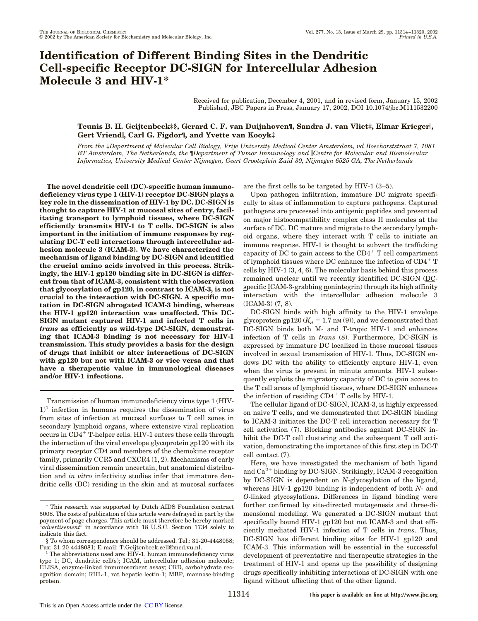# **Identification of Different Binding Sites in the Dendritic Cell-specific Receptor DC-SIGN for Intercellular Adhesion Molecule 3 and HIV-1\***

Received for publication, December 4, 2001, and in revised form, January 15, 2002 Published, JBC Papers in Press, January 17, 2002, DOI 10.1074/jbc.M111532200

# **Teunis B. H. Geijtenbeek‡§, Gerard C. F. van Duijnhoven¶, Sandra J. van Vliet‡, Elmar Krieger, Gert Vriend, Carl G. Figdor¶, and Yvette van Kooyk‡**

*From the* ‡*Department of Molecular Cell Biology, Vrije University Medical Center Amsterdam, vd Boechorststraat 7, 1081 BT Amsterdam, The Netherlands, the* ¶*Department of Tumor Immunology and Centre for Molecular and Biomolecular Informatics, University Medical Center Nijmegen, Geert Grooteplein Zuid 30, Nijmegen 6525 GA, The Netherlands*

**The novel dendritic cell (DC)-specific human immunodeficiency virus type 1 (HIV-1) receptor DC-SIGN plays a key role in the dissemination of HIV-1 by DC. DC-SIGN is thought to capture HIV-1 at mucosal sites of entry, facilitating transport to lymphoid tissues, where DC-SIGN efficiently transmits HIV-1 to T cells. DC-SIGN is also important in the initiation of immune responses by regulating DC-T cell interactions through intercellular adhesion molecule 3 (ICAM-3). We have characterized the mechanism of ligand binding by DC-SIGN and identified the crucial amino acids involved in this process. Strikingly, the HIV-1 gp120 binding site in DC-SIGN is different from that of ICAM-3, consistent with the observation that glycosylation of gp120, in contrast to ICAM-3, is not crucial to the interaction with DC-SIGN. A specific mutation in DC-SIGN abrogated ICAM-3 binding, whereas the HIV-1 gp120 interaction was unaffected. This DC-SIGN mutant captured HIV-1 and infected T cells in** *trans* **as efficiently as wild-type DC-SIGN, demonstrating that ICAM-3 binding is not necessary for HIV-1 transmission. This study provides a basis for the design of drugs that inhibit or alter interactions of DC-SIGN with gp120 but not with ICAM-3 or vice versa and that have a therapeutic value in immunological diseases and/or HIV-1 infections.**

Transmission of human immunodeficiency virus type 1 (HIV- $1<sup>1</sup>$  infection in humans requires the dissemination of virus from sites of infection at mucosal surfaces to T cell zones in secondary lymphoid organs, where extensive viral replication  $occurs in CD4<sup>+</sup>$  T-helper cells. HIV-1 enters these cells through the interaction of the viral envelope glycoprotein gp120 with its primary receptor CD4 and members of the chemokine receptor family, primarily CCR5 and CXCR4 (1, 2). Mechanisms of early viral dissemination remain uncertain, but anatomical distribution and *in vitro* infectivity studies infer that immature dendritic cells (DC) residing in the skin and at mucosal surfaces are the first cells to be targeted by HIV-1 (3–5).

Upon pathogen infiltration, immature DC migrate specifically to sites of inflammation to capture pathogens. Captured pathogens are processed into antigenic peptides and presented on major histocompatibility complex class II molecules at the surface of DC. DC mature and migrate to the secondary lymphoid organs, where they interact with T cells to initiate an immune response. HIV-1 is thought to subvert the trafficking capacity of DC to gain access to the  $CD4^+$  T cell compartment of lymphoid tissues where DC enhance the infection of  $CD4^+$  T cells by HIV-1 (3, 4, 6). The molecular basis behind this process remained unclear until we recently identified DC-SIGN (DCspecific ICAM-3-grabbing nonintegrin) through its high affinity interaction with the intercellular adhesion molecule 3 (ICAM-3) (7, 8).

DC-SIGN binds with high affinity to the HIV-1 envelope glycoprotein gp120 ( $K_d = 1.7$  nm (9)), and we demonstrated that DC-SIGN binds both M- and T-tropic HIV-1 and enhances infection of T cells in *trans* (8). Furthermore, DC-SIGN is expressed by immature DC localized in those mucosal tissues involved in sexual transmission of HIV-1. Thus, DC-SIGN endows DC with the ability to efficiently capture HIV-1, even when the virus is present in minute amounts. HIV-1 subsequently exploits the migratory capacity of DC to gain access to the T cell areas of lymphoid tissues, where DC-SIGN enhances the infection of residing  $CD4^+$  T cells by HIV-1.

The cellular ligand of DC-SIGN, ICAM-3, is highly expressed on naive T cells, and we demonstrated that DC-SIGN binding to ICAM-3 initiates the DC-T cell interaction necessary for T cell activation (7). Blocking antibodies against DC-SIGN inhibit the DC-T cell clustering and the subsequent T cell activation, demonstrating the importance of this first step in DC-T cell contact (7).

Here, we have investigated the mechanism of both ligand and  $Ca^{2+}$  binding by DC-SIGN. Strikingly, ICAM-3 recognition by DC-SIGN is dependent on *N*-glycosylation of the ligand, whereas HIV-1 gp120 binding is independent of both *N*- and *O*-linked glycosylations. Differences in ligand binding were further confirmed by site-directed mutagenesis and three-dimensional modeling. We generated a DC-SIGN mutant that specifically bound HIV-1 gp120 but not ICAM-3 and that efficiently mediated HIV-1 infection of T cells in *trans*. Thus, DC-SIGN has different binding sites for HIV-1 gp120 and ICAM-3. This information will be essential in the successful development of preventative and therapeutic strategies in the treatment of HIV-1 and opens up the possibility of designing drugs specifically inhibiting interactions of DC-SIGN with one ligand without affecting that of the other ligand.

<sup>\*</sup> This research was supported by Dutch AIDS Foundation contract 5008. The costs of publication of this article were defrayed in part by the payment of page charges. This article must therefore be hereby marked "*advertisement*" in accordance with 18 U.S.C. Section 1734 solely to indicate this fact.

<sup>§</sup> To whom correspondence should be addressed. Tel.: 31-20-4448058;

 $1$ <sup>T</sup>he abbreviations used are: HIV-1, human immunodeficiency virus type 1; DC, dendritic cell(s); ICAM, intercellular adhesion molecule; ELISA, enzyme-linked immunosorbent assay; CRD, carbohydrate recognition domain; RHL-1, rat hepatic lectin-1; MBP, mannose-binding protein.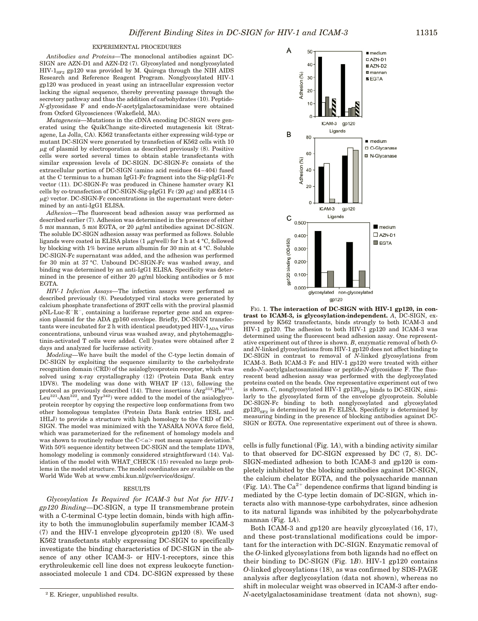### EXPERIMENTAL PROCEDURES

*Antibodies and Proteins—*The monoclonal antibodies against DC-SIGN are AZN-D1 and AZN-D2 (7). Glycosylated and nonglycosylated  $HIV-1<sub>SF2</sub>$  gp120 was provided by M. Quiroga through the NIH AIDS Research and Reference Reagent Program. Nonglycosylated HIV-1 gp120 was produced in yeast using an intracellular expression vector lacking the signal sequence, thereby preventing passage through the secretory pathway and thus the addition of carbohydrates (10). Peptide-*N*-glycosidase F and endo-*N*-acetylgalactosaminidase were obtained from Oxford Glycosciences (Wakefield, MA).

*Mutagenesis—*Mutations in the cDNA encoding DC-SIGN were generated using the QuikChange site-directed mutagenesis kit (Stratagene, La Jolla, CA). K562 transfectants either expressing wild-type or mutant DC-SIGN were generated by transfection of K562 cells with 10  $\mu$ g of plasmid by electroporation as described previously (8). Positive cells were sorted several times to obtain stable transfectants with similar expression levels of DC-SIGN. DC-SIGN-Fc consists of the extracellular portion of DC-SIGN (amino acid residues 64–404) fused at the C terminus to a human IgG1-Fc fragment into the Sig-pIgG1-Fc vector (11). DC-SIGN-Fc was produced in Chinese hamster ovary K1 cells by co-transfection of DC-SIGN-Sig-pIgG1 Fc (20  $\mu$ g) and pEE14 (5  $\mu$ g) vector. DC-SIGN-Fc concentrations in the supernatant were determined by an anti-IgG1 ELISA.

*Adhesion—*The fluorescent bead adhesion assay was performed as described earlier (7). Adhesion was determined in the presence of either  $5$  mM mannan,  $5$  mM EGTA, or  $20$   $\mu\text{g/ml}$  antibodies against DC-SIGN. The soluble DC-SIGN adhesion assay was performed as follows. Soluble ligands were coated in ELISA plates (1  $\mu$ g/well) for 1 h at 4 °C, followed by blocking with 1% bovine serum albumin for 30 min at 4 °C. Soluble DC-SIGN-Fc supernatant was added, and the adhesion was performed for 30 min at 37 °C. Unbound DC-SIGN-Fc was washed away, and binding was determined by an anti-IgG1 ELISA. Specificity was determined in the presence of either 20  $\mu$ g/ml blocking antibodies or 5 mM EGTA.

*HIV-1 Infection Assays—*The infection assays were performed as described previously (8). Pseudotyped viral stocks were generated by calcium phosphate transfections of 293T cells with the proviral plasmid  $pNL-Luc-E-R^-$ , containing a luciferase reporter gene and an expression plasmid for the ADA gp160 envelope. Briefly, DC-SIGN transfectants were incubated for 2 h with identical pseudotyped HIV- $1_{ADA}$  virus concentrations, unbound virus was washed away, and phytohemagglutinin-activated T cells were added. Cell lysates were obtained after 2 days and analyzed for luciferase activity.

*Modeling—*We have built the model of the C-type lectin domain of DC-SIGN by exploiting the sequence similarity to the carbohydrate recognition domain (CRD) of the asialoglycoprotein receptor, which was solved using x-ray crystallography (12) (Protein Data Bank entry 1DV8). The modeling was done with WHAT IF (13), following the protocol as previously described  $(14)$ . Three insertions  $(\text{Arg}^{312}\text{-}\text{Phe}^{313})$ , Leu<sup>321</sup>-Asn<sup>322</sup>, and Tyr<sup>342</sup>) were added to the model of the asialoglycoprotein receptor by copying the respective loop conformations from two other homologous templates (Protein Data Bank entries 1ESL and 1HLJ) to provide a structure with high homology to the CRD of DC-SIGN. The model was minimized with the YASARA NOVA force field, which was parameterized for the refinement of homology models and was shown to routinely reduce the C $\langle \alpha \rangle$  root mean square deviation.<sup>2</sup> With 50% sequence identity between DC-SIGN and the template 1DV8, homology modeling is commonly considered straightforward (14). Validation of the model with WHAT\_CHECK (15) revealed no large problems in the model structure. The model coordinates are available on the World Wide Web at www.cmbi.kun.nl/gv/service/dcsign/.

#### RESULTS

*Glycosylation Is Required for ICAM-3 but Not for HIV-1 gp120 Binding—*DC-SIGN, a type II transmembrane protein with a C-terminal C-type lectin domain, binds with high affinity to both the immunoglobulin superfamily member ICAM-3 (7) and the HIV-1 envelope glycoprotein gp120 (8). We used K562 transfectants stably expressing DC-SIGN to specifically investigate the binding characteristics of DC-SIGN in the absence of any other ICAM-3- or HIV-1-receptors, since this erythroleukemic cell line does not express leukocyte functionassociated molecule 1 and CD4. DC-SIGN expressed by these



FIG. 1. The interaction of DC-SIGN with HIV-1 gp120, in con**trast to ICAM-3, is glycosylation-independent.** *A*, DC-SIGN, expressed by K562 transfectants, binds strongly to both ICAM-3 and HIV-1 gp120. The adhesion to both HIV-1 gp120 and ICAM-3 was determined using the fluorescent bead adhesion assay. One representative experiment out of three is shown. *B*, enzymatic removal of both *O*and *N*-linked glycosylations from HIV-1 gp120 does not affect binding to DC-SIGN in contrast to removal of *N*-linked glycosylations from ICAM-3. Both ICAM-3 Fc and HIV-1 gp120 were treated with either endo-*N*-acetylgalactosaminidase or peptide-*N*-glycosidase F. The fluorescent bead adhesion assay was performed with the deglycosylated proteins coated on the beads. One representative experiment out of two is shown. *C*, nonglycosylated HIV-1  $gp120_{SF2}$  binds to DC-SIGN, similarly to the glycosylated form of the envelope glycoprotein. Soluble DC-SIGN-Fc binding to both nonglycosylated and glycosylated  $gp120_{S_{FF2}}$  is determined by an Fc ELISA. Specificity is determined by measuring binding in the presence of blocking antibodies against DC-SIGN or EGTA. One representative experiment out of three is shown.

cells is fully functional (Fig. 1*A*), with a binding activity similar to that observed for DC-SIGN expressed by DC (7, 8). DC-SIGN-mediated adhesion to both ICAM-3 and gp120 is completely inhibited by the blocking antibodies against DC-SIGN, the calcium chelator EGTA, and the polysaccharide mannan (Fig. 1*A*). The  $Ca^{2+}$  dependence confirms that ligand binding is mediated by the C-type lectin domain of DC-SIGN, which interacts also with mannose-type carbohydrates, since adhesion to its natural ligands was inhibited by the polycarbohydrate mannan (Fig. 1*A*).

Both ICAM-3 and gp120 are heavily glycosylated (16, 17), and these post-translational modifications could be important for the interaction with DC-SIGN. Enzymatic removal of the *O*-linked glycosylations from both ligands had no effect on their binding to DC-SIGN (Fig. 1*B*). HIV-1 gp120 contains *O*-linked glycosylations (18), as was confirmed by SDS-PAGE analysis after deglycosylation (data not shown), whereas no shift in molecular weight was observed in ICAM-3 after endo-<sup>2</sup> E. Krieger, unpublished results.  $N$ -acetylgalactosaminidase treatment (data not shown), sug-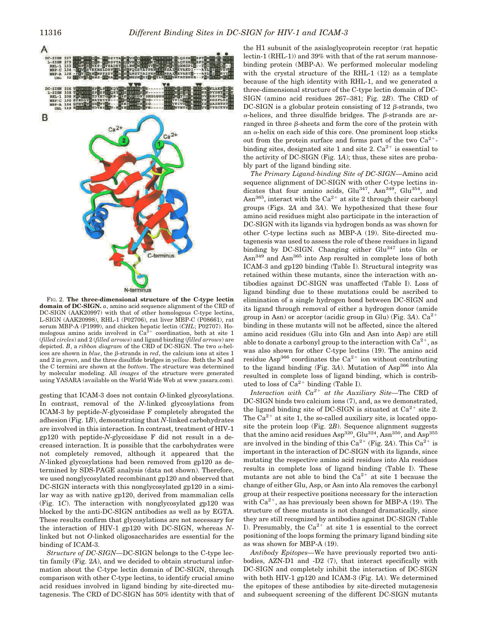

FIG. 2. **The three-dimensional structure of the C-type lectin domain of DC-SIGN.** *a*, amino acid sequence alignment of the CRD of DC-SIGN (AAK20997) with that of other homologous C-type lectins, L-SIGN (AAK20998), RHL-1 (P02706), rat liver MBP-C (P08661), rat serum MBP-A (P1999), and chicken hepatic lectin (*CHL*; P02707). Homologous amino acids involved in  $Ca<sup>2+</sup>$  coordination, both at site 1 (*filled circles*) and 2 (*filled arrows*) and ligand binding (*filled arrows*) are depicted.  $B$ , a *ribbon diagram* of the CRD of DC-SIGN. The two  $\alpha$ -helices are shown in  $blue$ , the  $\beta$ -strands in  $red$ , the calcium ions at sites 1 and 2 in *green*, and the three disulfide bridges in *yellow*. Both the N and the C termini are shown at the *bottom*. The structure was determined by molecular modeling. All *images* of the structure were generated using YASARA (available on the World Wide Web at www.yasara.com).

gesting that ICAM-3 does not contain *O*-linked glycosylations. In contrast, removal of the *N*-linked glycosylations from ICAM-3 by peptide-*N*-glycosidase F completely abrogated the adhesion (Fig. 1*B*), demonstrating that *N*-linked carbohydrates are involved in this interaction. In contrast, treatment of HIV-1 gp120 with peptide-*N*-glycosidase F did not result in a decreased interaction. It is possible that the carbohydrates were not completely removed, although it appeared that the *N*-linked glycosylations had been removed from gp120 as determined by SDS-PAGE analysis (data not shown). Therefore, we used nonglycosylated recombinant gp120 and observed that DC-SIGN interacts with this nonglycosylated gp120 in a similar way as with native gp120, derived from mammalian cells (Fig. 1*C*). The interaction with nonglycosylated gp120 was blocked by the anti-DC-SIGN antibodies as well as by EGTA. These results confirm that glycosylations are not necessary for the interaction of HIV-1 gp120 with DC-SIGN, whereas *N*linked but not *O*-linked oligosaccharides are essential for the binding of ICAM-3.

*Structure of DC-SIGN—DC-SIGN belongs to the C-type lec*tin family (Fig. 2*A*), and we decided to obtain structural information about the C-type lectin domain of DC-SIGN, through comparison with other C-type lectins, to identify crucial amino acid residues involved in ligand binding by site-directed mutagenesis. The CRD of DC-SIGN has 50% identity with that of the H1 subunit of the asialoglycoprotein receptor (rat hepatic lectin-1 (RHL-1)) and 39% with that of the rat serum mannosebinding protein (MBP-A). We performed molecular modeling with the crystal structure of the RHL-1 (12) as a template because of the high identity with RHL-1, and we generated a three-dimensional structure of the C-type lectin domain of DC-SIGN (amino acid residues 267–381; Fig. 2*B*). The CRD of DC-SIGN is a globular protein consisting of 12  $\beta$ -strands, two  $\alpha$ -helices, and three disulfide bridges. The  $\beta$ -strands are arranged in three  $\beta$ -sheets and form the core of the protein with an  $\alpha$ -helix on each side of this core. One prominent loop sticks out from the protein surface and forms part of the two  $Ca^{2+}$ binding sites, designated site 1 and site 2.  $Ca^{2+}$  is essential to the activity of DC-SIGN (Fig. 1*A*); thus, these sites are probably part of the ligand binding site.

*The Primary Ligand-binding Site of DC-SIGN—*Amino acid sequence alignment of DC-SIGN with other C-type lectins indicates that four amino acids,  $Glu<sup>347</sup>$ ,  $Asn<sup>349</sup>$ ,  $Glu<sup>354</sup>$ , and Asn<sup>365</sup>, interact with the Ca<sup>2+</sup> at site 2 through their carbonyl groups (Figs. 2*A* and 3*A*). We hypothesized that these four amino acid residues might also participate in the interaction of DC-SIGN with its ligands via hydrogen bonds as was shown for other C-type lectins such as MBP-A (19). Site-directed mutagenesis was used to assess the role of these residues in ligand binding by DC-SIGN. Changing either Glu<sup>347</sup> into Gln or Asn<sup>349</sup> and Asn365 into Asp resulted in complete loss of both ICAM-3 and gp120 binding (Table I). Structural integrity was retained within these mutants, since the interaction with antibodies against DC-SIGN was unaffected (Table I). Loss of ligand binding due to these mutations could be ascribed to elimination of a single hydrogen bond between DC-SIGN and its ligand through removal of either a hydrogen donor (amide group in Asn) or acceptor (acidic group in Glu) (Fig.  $3A$ ).  $Ca^{2+}$ binding in these mutants will not be affected, since the altered amino acid residues (Glu into Gln and Asn into Asp) are still able to donate a carbonyl group to the interaction with  $Ca^{2+}$ , as was also shown for other C-type lectins (19). The amino acid residue Asp<sup>366</sup> coordinates the  $Ca^{2+}$  ion without contributing to the ligand binding (Fig. 3A). Mutation of Asp<sup>366</sup> into Ala resulted in complete loss of ligand binding, which is contributed to loss of  $Ca^{2+}$  binding (Table I).

*Interaction with*  $Ca^{2+}$  *at the Auxiliary Site—The CRD of* DC-SIGN binds two calcium ions (7), and, as we demonstrated, the ligand binding site of DC-SIGN is situated at  $Ca^{2+}$  site 2. The  $Ca^{2+}$  at site 1, the so-called auxiliary site, is located opposite the protein loop (Fig. 2*B*). Sequence alignment suggests that the amino acid residues  $\text{Asp}^{320}$ ,  $\text{Glu}^{324}$ ,  $\text{Asn}^{350}$ , and  $\text{Asp}^{355}$ are involved in the binding of this  $Ca^{2+}$  (Fig. 2*A*). This  $Ca^{2+}$  is important in the interaction of DC-SIGN with its ligands, since mutating the respective amino acid residues into Ala residues results in complete loss of ligand binding (Table I). These mutants are not able to bind the  $Ca^{2+}$  at site 1 because the change of either Glu, Asp, or Asn into Ala removes the carbonyl group at their respective positions necessary for the interaction with  $Ca^{2+}$ , as has previously been shown for MBP-A (19). The structure of these mutants is not changed dramatically, since they are still recognized by antibodies against DC-SIGN (Table I). Presumably, the  $Ca^{2+}$  at site 1 is essential to the correct positioning of the loops forming the primary ligand binding site as was shown for MBP-A (19).

*Antibody Epitopes—*We have previously reported two antibodies, AZN-D1 and -D2 (7), that interact specifically with DC-SIGN and completely inhibit the interaction of DC-SIGN with both HIV-1 gp120 and ICAM-3 (Fig. 1*A*). We determined the epitopes of these antibodies by site-directed mutagenesis and subsequent screening of the different DC-SIGN mutants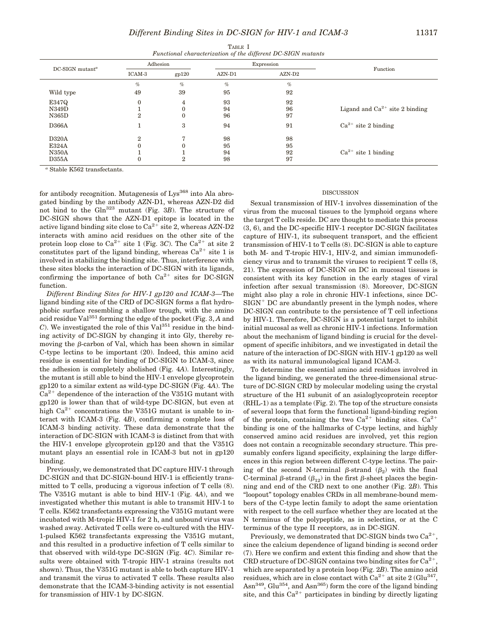| TABLE I |                                                              |  |  |  |  |  |  |
|---------|--------------------------------------------------------------|--|--|--|--|--|--|
|         | Functional characterization of the different DC-SIGN mutants |  |  |  |  |  |  |

| DC-SIGN mutant <sup>a</sup> |                | Adhesion       |          | Expression |                                     |
|-----------------------------|----------------|----------------|----------|------------|-------------------------------------|
|                             | ICAM-3         | gp120          | $AZN-D1$ | $AZN-D2$   | Function                            |
|                             | %              | $\%$           | $\%$     | $\%$       |                                     |
| Wild type                   | 49             | 39             | 95       | 92         |                                     |
| E347Q                       | $\mathbf{0}$   | 4              | 93       | 92         |                                     |
| N349D                       |                | 0              | 94       | 96         | Ligand and $Ca^{2+}$ site 2 binding |
| N365D                       | $\overline{2}$ | $\mathbf{0}$   | 96       | 97         |                                     |
| D366A                       |                | 3              | 94       | 91         | $Ca^{2+}$ site 2 binding            |
| D320A                       | $\mathbf{2}$   | 7              | 98       | 98         |                                     |
| E324A                       | $\theta$       | 0              | 95       | 95         |                                     |
| <b>N350A</b>                |                |                | 94       | 92         | $Ca^{2+}$ site 1 binding            |
| D355A                       | $\Omega$       | $\overline{2}$ | 98       | 97         |                                     |

*<sup>a</sup>* Stable K562 transfectants.

for antibody recognition. Mutagenesis of  $Lys^{368}$  into Ala abrogated binding by the antibody AZN-D1, whereas AZN-D2 did not bind to the Gln323 mutant (Fig. 3*B*). The structure of DC-SIGN shows that the AZN-D1 epitope is located in the active ligand binding site close to  $Ca^{2+}$  site 2, whereas AZN-D2 interacts with amino acid residues on the other site of the protein loop close to  $Ca^{2+}$  site 1 (Fig. 3*C*). The  $Ca^{2+}$  at site 2 constitutes part of the ligand binding, whereas  $Ca^{2+}$  site 1 is involved in stabilizing the binding site. Thus, interference with these sites blocks the interaction of DC-SIGN with its ligands, confirming the importance of both  $Ca^{2+}$  sites for DC-SIGN function.

*Different Binding Sites for HIV-1 gp120 and ICAM-3—*The ligand binding site of the CRD of DC-SIGN forms a flat hydrophobic surface resembling a shallow trough, with the amino acid residue Val<sup>351</sup> forming the edge of the pocket (Fig. 3, *A* and  $C$ ). We investigated the role of this Val $^{351}$  residue in the binding activity of DC-SIGN by changing it into Gly, thereby removing the  $\beta$ -carbon of Val, which has been shown in similar C-type lectins to be important (20). Indeed, this amino acid residue is essential for binding of DC-SIGN to ICAM-3, since the adhesion is completely abolished (Fig. 4*A*). Interestingly, the mutant is still able to bind the HIV-1 envelope glycoprotein gp120 to a similar extent as wild-type DC-SIGN (Fig. 4*A*). The  $Ca<sup>2+</sup>$  dependence of the interaction of the V351G mutant with gp120 is lower than that of wild-type DC-SIGN, but even at high  $Ca^{2+}$  concentrations the V351G mutant is unable to interact with ICAM-3 (Fig. 4*B*), confirming a complete loss of ICAM-3 binding activity. These data demonstrate that the interaction of DC-SIGN with ICAM-3 is distinct from that with the HIV-1 envelope glycoprotein gp120 and that the V351G mutant plays an essential role in ICAM-3 but not in gp120 binding.

Previously, we demonstrated that DC capture HIV-1 through DC-SIGN and that DC-SIGN-bound HIV-1 is efficiently transmitted to T cells, producing a vigorous infection of T cells (8). The V351G mutant is able to bind HIV-1 (Fig. 4*A*), and we investigated whether this mutant is able to transmit HIV-1 to T cells. K562 transfectants expressing the V351G mutant were incubated with M-tropic HIV-1 for 2 h, and unbound virus was washed away. Activated T cells were co-cultured with the HIV-1-pulsed K562 transfectants expressing the V351G mutant, and this resulted in a productive infection of T cells similar to that observed with wild-type DC-SIGN (Fig. 4*C*). Similar results were obtained with T-tropic HIV-1 strains (results not shown). Thus, the V351G mutant is able to both capture HIV-1 and transmit the virus to activated T cells. These results also demonstrate that the ICAM-3-binding activity is not essential for transmission of HIV-1 by DC-SIGN.

## DISCUSSION

Sexual transmission of HIV-1 involves dissemination of the virus from the mucosal tissues to the lymphoid organs where the target T cells reside. DC are thought to mediate this process (3, 6), and the DC-specific HIV-1 receptor DC-SIGN facilitates capture of HIV-1, its subsequent transport, and the efficient transmission of HIV-1 to T cells (8). DC-SIGN is able to capture both M- and T-tropic HIV-1, HIV-2, and simian immunodeficiency virus and to transmit the viruses to recipient T cells (8, 21). The expression of DC-SIGN on DC in mucosal tissues is consistent with its key function in the early stages of viral infection after sexual transmission (8). Moreover, DC-SIGN might also play a role in chronic HIV-1 infections, since DC- $SIGN<sup>+</sup> DC$  are abundantly present in the lymph nodes, where DC-SIGN can contribute to the persistence of T cell infections by HIV-1. Therefore, DC-SIGN is a potential target to inhibit initial mucosal as well as chronic HIV-1 infections. Information about the mechanism of ligand binding is crucial for the development of specific inhibitors, and we investigated in detail the nature of the interaction of DC-SIGN with HIV-1 gp120 as well as with its natural immunological ligand ICAM-3.

To determine the essential amino acid residues involved in the ligand binding, we generated the three-dimensional structure of DC-SIGN CRD by molecular modeling using the crystal structure of the H1 subunit of an asialoglycoprotein receptor (RHL-1) as a template (Fig. 2). The top of the structure consists of several loops that form the functional ligand-binding region of the protein, containing the two  $Ca^{2+}$  binding sites.  $Ca^{2+}$ binding is one of the hallmarks of C-type lectins, and highly conserved amino acid residues are involved, yet this region does not contain a recognizable secondary structure. This presumably confers ligand specificity, explaining the large differences in this region between different C-type lectins. The pairing of the second N-terminal  $\beta$ -strand  $(\beta_2)$  with the final C-terminal  $\beta$ -strand  $(\beta_{12})$  in the first  $\beta$ -sheet places the beginning and end of the CRD next to one another (Fig. 2*B*). This "loopout" topology enables CRDs in all membrane-bound members of the C-type lectin family to adopt the same orientation with respect to the cell surface whether they are located at the N terminus of the polypeptide, as in selectins, or at the C terminus of the type II receptors, as in DC-SIGN.

Previously, we demonstrated that DC-SIGN binds two  $Ca^{2+}$ . since the calcium dependence of ligand binding is second order (7). Here we confirm and extent this finding and show that the CRD structure of DC-SIGN contains two binding sites for  $Ca^{2+}$ . which are separated by a protein loop (Fig. 2*B*). The amino acid residues, which are in close contact with  $Ca^{2+}$  at site 2 (Glu<sup>347</sup>,  $\text{Asn}^{349}$ , Glu<sup>354</sup>, and Asn<sup>365</sup>) form the core of the ligand binding site, and this  $Ca^{2+}$  participates in binding by directly ligating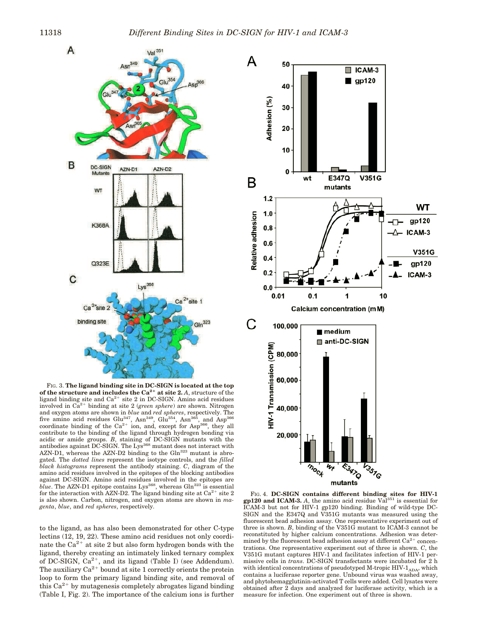

FIG. 3. **The ligand binding site in DC-SIGN is located at the top** of the structure and includes the  $Ca^{2+}$  at site 2. *A*, structure of the ligand binding site and  $Ca<sup>2+</sup>$  site 2 in DC-SIGN. Amino acid residues involved in  $\tilde{Ca}^{2+}$  binding at site 2 (*green sphere*) are shown. Nitrogen and oxygen atoms are shown in *blue* and *red spheres*, respectively. The five amino acid residues Glu<sup>347</sup>, Asn<sup>349</sup>, Glu<sup>354</sup>, Asn<sup>365</sup>, and Asp<sup>366</sup> coordinate binding of the  $Ca^{2+}$  ion, and, except for Asp<sup>366</sup>, they all contribute to the binding of the ligand through hydrogen bonding via acidic or amide groups. *B*, staining of DC-SIGN mutants with the antibodies against DC-SIGN. The Lys<sup>368</sup> mutant does not interact with AZN-D1, whereas the AZN-D2 binding to the Gln323 mutant is abrogated. The *dotted lines* represent the isotype controls, and the *filled black histograms* represent the antibody staining. *C*, diagram of the amino acid residues involved in the epitopes of the blocking antibodies against DC-SIGN. Amino acid residues involved in the epitopes are *blue*. The AZN-D1 epitope contains Lys<sup>368</sup>, whereas Gln<sup>323</sup> is essential for the interaction with AZN-D2. The ligand binding site at  $Ca^{2+}$  site 2 is also shown. Carbon, nitrogen, and oxygen atoms are shown in *magenta*, *blue*, and *red spheres*, respectively.

to the ligand, as has also been demonstrated for other C-type lectins (12, 19, 22). These amino acid residues not only coordinate the  $Ca^{2+}$  at site 2 but also form hydrogen bonds with the ligand, thereby creating an intimately linked ternary complex of DC-SIGN,  $Ca^{2+}$ , and its ligand (Table I) (see Addendum). The auxiliary  $Ca^{2+}$  bound at site 1 correctly orients the protein loop to form the primary ligand binding site, and removal of this  $Ca^{2+}$  by mutagenesis completely abrogates ligand binding (Table I, Fig. 2). The importance of the calcium ions is further



FIG. 4. **DC-SIGN contains different binding sites for HIV-1 gp120 and ICAM-3.** *A*, the amino acid residue Val<sup>351</sup> is essential for ICAM-3 but not for HIV-1 gp120 binding. Binding of wild-type DC-SIGN and the E347Q and V351G mutants was measured using the fluorescent bead adhesion assay. One representative experiment out of three is shown. *B*, binding of the V351G mutant to ICAM-3 cannot be reconstituted by higher calcium concentrations. Adhesion was determined by the fluorescent bead adhesion assay at different  $\mathrm{Ca^{2+}}$  concentrations. One representative experiment out of three is shown. *C*, the V351G mutant captures HIV-1 and facilitates infection of HIV-1 permissive cells in *trans*. DC-SIGN transfectants were incubated for 2 h with identical concentrations of pseudotyped M-tropic HIV- $1_{\rm ADA}$ , which contains a luciferase reporter gene. Unbound virus was washed away, and phytohemagglutinin-activated T cells were added. Cell lysates were obtained after 2 days and analyzed for luciferase activity, which is a measure for infection. One experiment out of three is shown.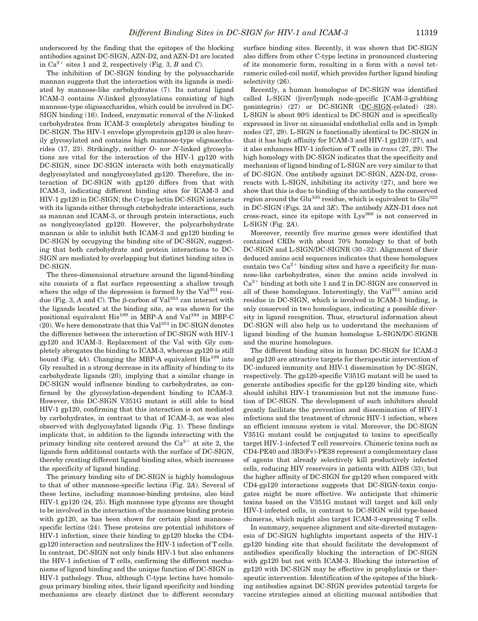underscored by the finding that the epitopes of the blocking antibodies against DC-SIGN, AZN-D2, and AZN-D1 are located in  $Ca^{2+}$  sites 1 and 2, respectively (Fig. 3, *B* and *C*).

The inhibition of DC-SIGN binding by the polysaccharide mannan suggests that the interaction with its ligands is mediated by mannose-like carbohydrates (7). Its natural ligand ICAM-3 contains *N*-linked glycosylations consisting of high mannose-type oligosaccharides, which could be involved in DC-SIGN binding (16). Indeed, enzymatic removal of the *N*-linked carbohydrates from ICAM-3 completely abrogates binding to DC-SIGN. The HIV-1 envelope glycoprotein gp120 is also heavily glycosylated and contains high mannose-type oligosaccharides (17, 23). Strikingly, neither *O*- nor *N*-linked glycosylations are vital for the interaction of the HIV-1 gp120 with DC-SIGN, since DC-SIGN interacts with both enzymatically deglycosylated and nonglycosylated gp120. Therefore, the interaction of DC-SIGN with gp120 differs from that with ICAM-3, indicating different binding sites for ICAM-3 and HIV-1 gp120 in DC-SIGN; the C-type lectin DC-SIGN interacts with its ligands either through carbohydrate interactions, such as mannan and ICAM-3, or through protein interactions, such as nonglycosylated gp120. However, the polycarbohydrate mannan is able to inhibit both ICAM-3 and gp120 binding to DC-SIGN by occupying the binding site of DC-SIGN, suggesting that both carbohydrate and protein interactions to DC-SIGN are mediated by overlapping but distinct binding sites in DC-SIGN.

The three-dimensional structure around the ligand-binding site consists of a flat surface representing a shallow trough where the edge of the depression is formed by the  $Val^{351}$  residue (Fig. 3,  $A$  and  $C$ ). The  $\beta$ -carbon of Val<sup>351</sup> can interact with the ligands located at the binding site, as was shown for the positional equivalent His<sup>189</sup> in MBP-A and Val<sup>194</sup> in MBP-C  $(20)$ . We here demonstrate that this Val<sup>351</sup> in DC-SIGN denotes the difference between the interaction of DC-SIGN with HIV-1 gp120 and ICAM-3. Replacement of the Val with Gly completely abrogates the binding to ICAM-3, whereas gp120 is still bound (Fig. 4A). Changing the MBP-A equivalent His<sup>189</sup> into Gly resulted in a strong decrease in its affinity of binding to its carbohydrate ligands (20), implying that a similar change in DC-SIGN would influence binding to carbohydrates, as confirmed by the glycosylation-dependent binding to ICAM-3. However, this DC-SIGN V351G mutant is still able to bind HIV-1 gp120, confirming that this interaction is not mediated by carbohydrates, in contrast to that of ICAM-3, as was also observed with deglycosylated ligands (Fig. 1). These findings implicate that, in addition to the ligands interacting with the primary binding site centered around the  $Ca^{2+}$  at site 2, the ligands form additional contacts with the surface of DC-SIGN, thereby creating different ligand binding sites, which increases the specificity of ligand binding.

The primary binding site of DC-SIGN is highly homologous to that of other mannose-specific lectins (Fig. 2*A*). Several of these lectins, including mannose-binding proteins, also bind HIV-1 gp120 (24, 25). High mannose type glycans are thought to be involved in the interaction of the mannose binding protein with gp120, as has been shown for certain plant mannosespecific lectins (24). These proteins are potential inhibitors of HIV-1 infection, since their binding to gp120 blocks the CD4 gp120 interaction and neutralizes the HIV-1 infection of T cells. In contrast, DC-SIGN not only binds HIV-1 but also enhances the HIV-1 infection of T cells, confirming the different mechanisms of ligand binding and the unique function of DC-SIGN in HIV-1 pathology. Thus, although C-type lectins have homologous primary binding sites, their ligand specificity and binding mechanisms are clearly distinct due to different secondary

surface binding sites. Recently, it was shown that DC-SIGN also differs from other C-type lectins in pronounced clustering of its monomeric form, resulting in a form with a novel tetrameric coiled-coil motif, which provides further ligand binding selectivity (26).

Recently, a human homologue of DC-SIGN was identified called L-SIGN (liver/lymph node-specific ICAM-3-grabbing nonintegrin) (27) or DC-SIGNR (DC-SIGN-related) (28). L-SIGN is about 90% identical to DC-SIGN and is specifically expressed in liver on sinusoidal endothelial cells and in lymph nodes (27, 29). L-SIGN is functionally identical to DC-SIGN in that it has high affinity for ICAM-3 and HIV-1 gp120 (27), and it also enhances HIV-1 infection of T cells in *trans* (27, 29). The high homology with DC-SIGN indicates that the specificity and mechanism of ligand binding of L-SIGN are very similar to that of DC-SIGN. One antibody against DC-SIGN, AZN-D2, crossreacts with L-SIGN, inhibiting its activity (27), and here we show that this is due to binding of the antibody to the conserved region around the Glu<sup>335</sup> residue, which is equivalent to Glu<sup>323</sup> in DC-SIGN (Figs. 2*A* and 3*E*). The antibody AZN-D1 does not cross-react, since its epitope with Lys<sup>368</sup> is not conserved in L-SIGN (Fig. 2*A*).

Moreover, recently five murine genes were identified that contained CRDs with about 70% homology to that of both DC-SIGN and L-SIGN/DC-SIGNR (30–32). Alignment of their deduced amino acid sequences indicates that these homologues contain two  $Ca^{2+}$  binding sites and have a specificity for mannose-like carbohydrates, since the amino acids involved in  $Ca<sup>2+</sup>$  binding at both site 1 and 2 in DC-SIGN are conserved in all of these homologues. Interestingly, the  $Val^{351}$  amino acid residue in DC-SIGN, which is involved in ICAM-3 binding, is only conserved in two homologues, indicating a possible diversity in ligand recognition. Thus, structural information about DC-SIGN will also help us to understand the mechanism of ligand binding of the human homologue L-SIGN/DC-SIGNR and the murine homologues.

The different binding sites in human DC-SIGN for ICAM-3 and gp120 are attractive targets for therapeutic intervention of DC-induced immunity and HIV-1 dissemination by DC-SIGN, respectively. The gp120-specific V351G mutant will be used to generate antibodies specific for the gp120 binding site, which should inhibit HIV-1 transmission but not the immune function of DC-SIGN. The development of such inhibitors should greatly facilitate the prevention and dissemination of HIV-1 infections and the treatment of chronic HIV-1 infection, where an efficient immune system is vital. Moreover, the DC-SIGN V351G mutant could be conjugated to toxins to specifically target HIV-1-infected T cell reservoirs. Chimeric toxins such as CD4-PE40 and 3B3(Fv)-PE38 represent a complementary class of agents that already selectively kill productively infected cells, reducing HIV reservoirs in patients with AIDS (33), but the higher affinity of DC-SIGN for gp120 when compared with CD4-gp120 interactions suggests that DC-SIGN-toxin conjugates might be more effective. We anticipate that chimeric toxins based on the V351G mutant will target and kill only HIV-1-infected cells, in contrast to DC-SIGN wild type-based chimeras, which might also target ICAM-3-expressing T cells.

In summary, sequence alignment and site-directed mutagenesis of DC-SIGN highlights important aspects of the HIV-1 gp120 binding site that should facilitate the development of antibodies specifically blocking the interaction of DC-SIGN with gp120 but not with ICAM-3. Blocking the interaction of gp120 with DC-SIGN may be effective in prophylaxis or therapeutic intervention. Identification of the epitopes of the blocking antibodies against DC-SIGN provides potential targets for vaccine strategies aimed at eliciting mucosal antibodies that